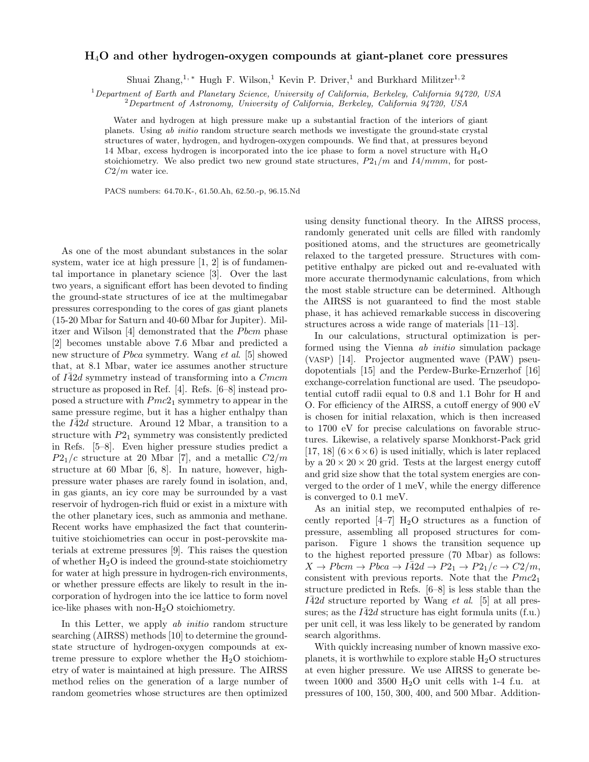## H4O and other hydrogen-oxygen compounds at giant-planet core pressures

Shuai Zhang,<sup>1, ∗</sup> Hugh F. Wilson,<sup>1</sup> Kevin P. Driver,<sup>1</sup> and Burkhard Militzer<sup>1, 2</sup>

<sup>1</sup>Department of Earth and Planetary Science, University of California, Berkeley, California 94720, USA

 $2$ Department of Astronomy, University of California, Berkeley, California 94720, USA

Water and hydrogen at high pressure make up a substantial fraction of the interiors of giant planets. Using ab initio random structure search methods we investigate the ground-state crystal structures of water, hydrogen, and hydrogen-oxygen compounds. We find that, at pressures beyond 14 Mbar, excess hydrogen is incorporated into the ice phase to form a novel structure with H4O stoichiometry. We also predict two new ground state structures,  $P_{21}/m$  and  $I_4/mmm$ , for post- $C2/m$  water ice.

PACS numbers: 64.70.K-, 61.50.Ah, 62.50.-p, 96.15.Nd

As one of the most abundant substances in the solar system, water ice at high pressure [1, 2] is of fundamental importance in planetary science [3]. Over the last two years, a significant effort has been devoted to finding the ground-state structures of ice at the multimegabar pressures corresponding to the cores of gas giant planets (15-20 Mbar for Saturn and 40-60 Mbar for Jupiter). Militzer and Wilson [4] demonstrated that the Pbcm phase [2] becomes unstable above 7.6 Mbar and predicted a new structure of *Pbca* symmetry. Wang et al. [5] showed that, at 8.1 Mbar, water ice assumes another structure of  $I\overline{4}2d$  symmetry instead of transforming into a  $Cmcm$ structure as proposed in Ref. [4]. Refs. [6–8] instead proposed a structure with  $Pmc2_1$  symmetry to appear in the same pressure regime, but it has a higher enthalpy than the  $I\overline{4}2d$  structure. Around 12 Mbar, a transition to a structure with  $P2<sub>1</sub>$  symmetry was consistently predicted in Refs. [5–8]. Even higher pressure studies predict a  $P2_1/c$  structure at 20 Mbar [7], and a metallic  $C2/m$ structure at 60 Mbar [6, 8]. In nature, however, highpressure water phases are rarely found in isolation, and, in gas giants, an icy core may be surrounded by a vast reservoir of hydrogen-rich fluid or exist in a mixture with the other planetary ices, such as ammonia and methane. Recent works have emphasized the fact that counterintuitive stoichiometries can occur in post-perovskite materials at extreme pressures [9]. This raises the question of whether  $H_2O$  is indeed the ground-state stoichiometry for water at high pressure in hydrogen-rich environments, or whether pressure effects are likely to result in the incorporation of hydrogen into the ice lattice to form novel ice-like phases with non-H2O stoichiometry.

In this Letter, we apply ab *initio* random structure searching (AIRSS) methods [10] to determine the groundstate structure of hydrogen-oxygen compounds at extreme pressure to explore whether the  $H_2O$  stoichiometry of water is maintained at high pressure. The AIRSS method relies on the generation of a large number of random geometries whose structures are then optimized

using density functional theory. In the AIRSS process, randomly generated unit cells are filled with randomly positioned atoms, and the structures are geometrically relaxed to the targeted pressure. Structures with competitive enthalpy are picked out and re-evaluated with more accurate thermodynamic calculations, from which the most stable structure can be determined. Although the AIRSS is not guaranteed to find the most stable phase, it has achieved remarkable success in discovering structures across a wide range of materials [11–13].

In our calculations, structural optimization is performed using the Vienna ab initio simulation package (VASP) [14]. Projector augmented wave (PAW) pseudopotentials [15] and the Perdew-Burke-Ernzerhof [16] exchange-correlation functional are used. The pseudopotential cutoff radii equal to 0.8 and 1.1 Bohr for H and O. For efficiency of the AIRSS, a cutoff energy of 900 eV is chosen for initial relaxation, which is then increased to 1700 eV for precise calculations on favorable structures. Likewise, a relatively sparse Monkhorst-Pack grid [17, 18]  $(6 \times 6 \times 6)$  is used initially, which is later replaced by a  $20 \times 20 \times 20$  grid. Tests at the largest energy cutoff and grid size show that the total system energies are converged to the order of 1 meV, while the energy difference is converged to 0.1 meV.

As an initial step, we recomputed enthalpies of recently reported  $[4-7]$  H<sub>2</sub>O structures as a function of pressure, assembling all proposed structures for comparison. Figure 1 shows the transition sequence up to the highest reported pressure (70 Mbar) as follows:  $X \to Pbcm \to Pbca \to I\bar{4}2d \to P2_1 \to P2_1/c \to C2/m$ , consistent with previous reports. Note that the  $Pmc2_1$ structure predicted in Refs. [6–8] is less stable than the  $I42d$  structure reported by Wang *et al.* [5] at all pressures; as the  $I\bar{4}2d$  structure has eight formula units (f.u.) per unit cell, it was less likely to be generated by random search algorithms.

With quickly increasing number of known massive exoplanets, it is worthwhile to explore stable  $H_2O$  structures at even higher pressure. We use AIRSS to generate between 1000 and 3500  $H<sub>2</sub>O$  unit cells with 1-4 f.u. at pressures of 100, 150, 300, 400, and 500 Mbar. Addition-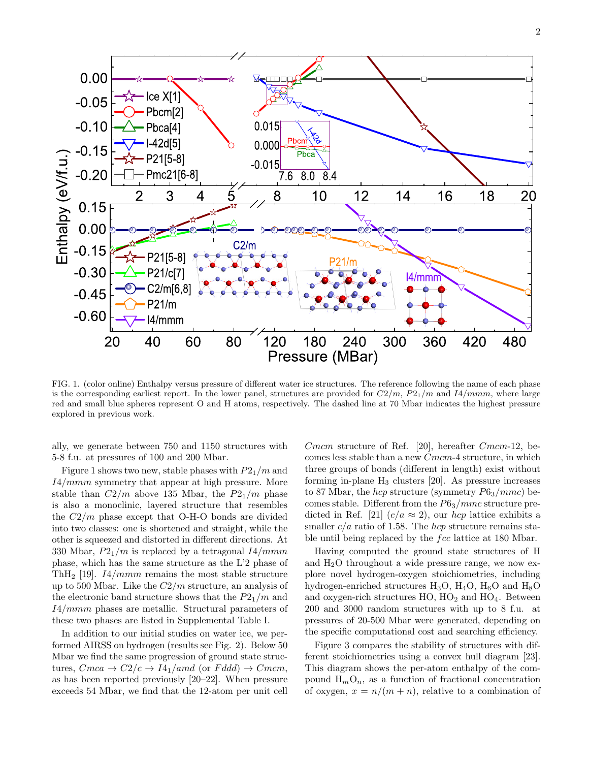

FIG. 1. (color online) Enthalpy versus pressure of different water ice structures. The reference following the name of each phase is the corresponding earliest report. In the lower panel, structures are provided for  $C2/m$ ,  $P2_1/m$  and  $I4/mmm$ , where large red and small blue spheres represent O and H atoms, respectively. The dashed line at 70 Mbar indicates the highest pressure explored in previous work.

ally, we generate between 750 and 1150 structures with 5-8 f.u. at pressures of 100 and 200 Mbar.

Figure 1 shows two new, stable phases with  $P2_1/m$  and I4/mmm symmetry that appear at high pressure. More stable than  $C2/m$  above 135 Mbar, the  $P21/m$  phase is also a monoclinic, layered structure that resembles the  $C2/m$  phase except that O-H-O bonds are divided into two classes: one is shortened and straight, while the other is squeezed and distorted in different directions. At 330 Mbar,  $P2_1/m$  is replaced by a tetragonal  $I4/mmm$ phase, which has the same structure as the L'2 phase of ThH<sub>2</sub> [19]. *I4/mmm* remains the most stable structure up to 500 Mbar. Like the  $C2/m$  structure, an analysis of the electronic band structure shows that the  $P2_1/m$  and I4/mmm phases are metallic. Structural parameters of these two phases are listed in Supplemental Table I.

In addition to our initial studies on water ice, we performed AIRSS on hydrogen (results see Fig. 2). Below 50 Mbar we find the same progression of ground state structures,  $Cmca \rightarrow C2/c \rightarrow I4_1/amd$  (or  $Fddd$ )  $\rightarrow Cmcm$ , as has been reported previously [20–22]. When pressure exceeds 54 Mbar, we find that the 12-atom per unit cell Cmcm structure of Ref. [20], hereafter Cmcm-12, becomes less stable than a new Cmcm-4 structure, in which three groups of bonds (different in length) exist without forming in-plane  $H_3$  clusters [20]. As pressure increases to 87 Mbar, the *hcp* structure (symmetry  $P6_3/mmc$ ) becomes stable. Different from the  $P6_3/mmc$  structure predicted in Ref. [21]  $(c/a \approx 2)$ , our hcp lattice exhibits a smaller  $c/a$  ratio of 1.58. The *hcp* structure remains stable until being replaced by the fcc lattice at 180 Mbar.

Having computed the ground state structures of H and  $H_2O$  throughout a wide pressure range, we now explore novel hydrogen-oxygen stoichiometries, including hydrogen-enriched structures  $H_3O$ ,  $H_4O$ ,  $H_6O$  and  $H_8O$ and oxygen-rich structures  $HO$ ,  $HO<sub>2</sub>$  and  $HO<sub>4</sub>$ . Between 200 and 3000 random structures with up to 8 f.u. at pressures of 20-500 Mbar were generated, depending on the specific computational cost and searching efficiency.

Figure 3 compares the stability of structures with different stoichiometries using a convex hull diagram [23]. This diagram shows the per-atom enthalpy of the compound  $H_mO_n$ , as a function of fractional concentration of oxygen,  $x = n/(m + n)$ , relative to a combination of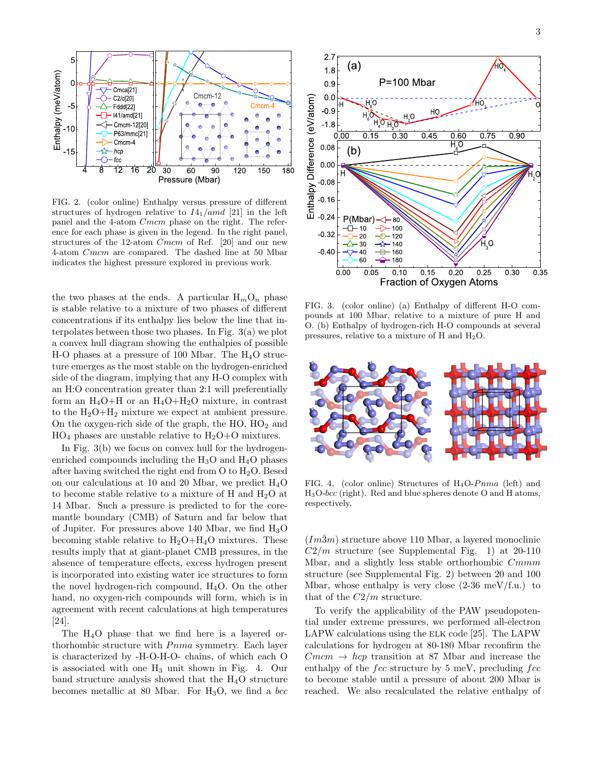

FIG. 2. (color online) Enthalpy versus pressure of different structures of hydrogen relative to  $I4_1/amd$  [21] in the left panel and the 4-atom Cmcm phase on the right. The reference for each phase is given in the legend. In the right panel, structures of the 12-atom Cmcm of Ref. [20] and our new 4-atom Cmcm are compared. The dashed line at 50 Mbar indicates the highest pressure explored in previous work.

the two phases at the ends. A particular  $H_mO_n$  phase is stable relative to a mixture of two phases of different concentrations if its enthalpy lies below the line that interpolates between those two phases. In Fig. 3(a) we plot a convex hull diagram showing the enthalpies of possible H-O phases at a pressure of 100 Mbar. The  $H_4O$  structure emerges as the most stable on the hydrogen-enriched side of the diagram, implying that any H-O complex with an H:O concentration greater than 2:1 will preferentially form an  $H_4O+H$  or an  $H_4O+H_2O$  mixture, in contrast to the  $H_2O+H_2$  mixture we expect at ambient pressure. On the oxygen-rich side of the graph, the  $HO$ ,  $HO<sub>2</sub>$  and  $HO_4$  phases are unstable relative to  $H_2O+O$  mixtures.

In Fig. 3(b) we focus on convex hull for the hydrogenenriched compounds including the  $H_3O$  and  $H_4O$  phases after having switched the right end from  $O$  to  $H<sub>2</sub>O$ . Besed on our calculations at 10 and 20 Mbar, we predict H4O to become stable relative to a mixture of H and  $H_2O$  at 14 Mbar. Such a pressure is predicted to for the coremantle boundary (CMB) of Saturn and far below that of Jupiter. For pressures above 140 Mbar, we find  $H_3O$ becoming stable relative to  $H_2O+H_4O$  mixtures. These results imply that at giant-planet CMB pressures, in the absence of temperature effects, excess hydrogen present is incorporated into existing water ice structures to form the novel hydrogen-rich compound,  $H_4O$ . On the other hand, no oxygen-rich compounds will form, which is in agreement with recent calculations at high temperatures [24].

The H4O phase that we find here is a layered orthorhombic structure with  $Pnma$  symmetry. Each layer is characterized by -H-O-H-O- chains, of which each O is associated with one  $H_3$  unit shown in Fig. 4. Our band structure analysis showed that the  $H_4O$  structure becomes metallic at 80 Mbar. For  $H_3O$ , we find a bcc



FIG. 3. (color online) (a) Enthalpy of different H-O compounds at 100 Mbar, relative to a mixture of pure H and O. (b) Enthalpy of hydrogen-rich H-O compounds at several pressures, relative to a mixture of H and H2O.



FIG. 4. (color online) Structures of  $H_4O-Pnma$  (left) and  $H_3O-bcc$  (right). Red and blue spheres denote O and H atoms, respectively.

 $(Im\bar{3}m)$  structure above 110 Mbar, a layered monoclinic  $C2/m$  structure (see Supplemental Fig. 1) at 20-110 Mbar, and a slightly less stable orthorhombic  $Cmmm$ structure (see Supplemental Fig. 2) between 20 and 100 Mbar, whose enthalpy is very close  $(2-36 \text{ meV/f.u.})$  to that of the  $C2/m$  structure.

To verify the applicability of the PAW pseudopotential under extreme pressures, we performed all-electron LAPW calculations using the ELK code [25]. The LAPW calculations for hydrogen at 80-180 Mbar reconfirm the  $Cmcm \rightarrow hcp$  transition at 87 Mbar and increase the enthalpy of the  $fcc$  structure by 5 meV, precluding  $fcc$ to become stable until a pressure of about 200 Mbar is reached. We also recalculated the relative enthalpy of